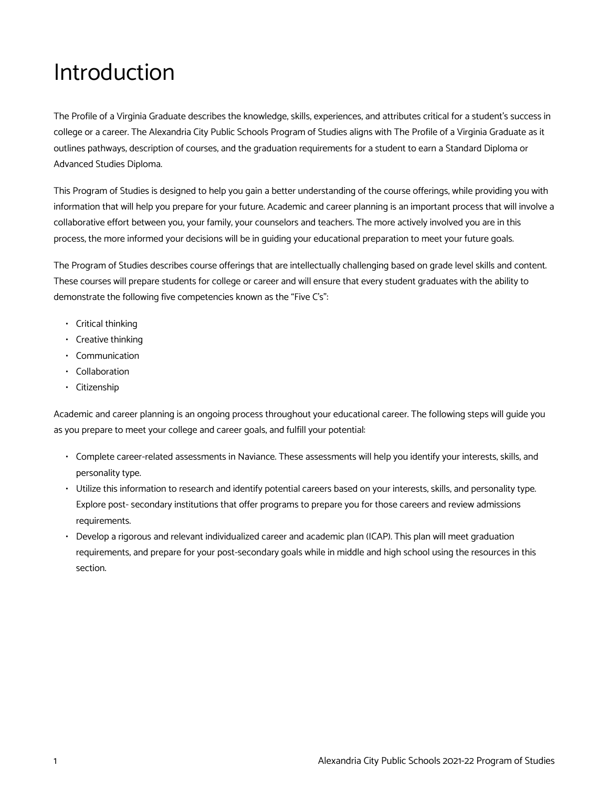## Introduction

The Profile of a Virginia Graduate describes the knowledge, skills, experiences, and attributes critical for a student's success in college or a career. The Alexandria City Public Schools Program of Studies aligns with The Profile of a Virginia Graduate as it outlines pathways, description of courses, and the graduation requirements for a student to earn a Standard Diploma or Advanced Studies Diploma.

This Program of Studies is designed to help you gain a better understanding of the course offerings, while providing you with information that will help you prepare for your future. Academic and career planning is an important process that will involve a collaborative effort between you, your family, your counselors and teachers. The more actively involved you are in this process, the more informed your decisions will be in guiding your educational preparation to meet your future goals.

The Program of Studies describes course offerings that are intellectually challenging based on grade level skills and content. These courses will prepare students for college or career and will ensure that every student graduates with the ability to demonstrate the following five competencies known as the "Five C's":

- Critical thinking
- Creative thinking
- Communication
- Collaboration
- Citizenship

Academic and career planning is an ongoing process throughout your educational career. The following steps will guide you as you prepare to meet your college and career goals, and fulfill your potential:

- Complete career-related assessments in Naviance. These assessments will help you identify your interests, skills, and personality type.
- Utilize this information to research and identify potential careers based on your interests, skills, and personality type. Explore post- secondary institutions that offer programs to prepare you for those careers and review admissions requirements.
- Develop a rigorous and relevant individualized career and academic plan (ICAP). This plan will meet graduation requirements, and prepare for your post-secondary goals while in middle and high school using the resources in this section.